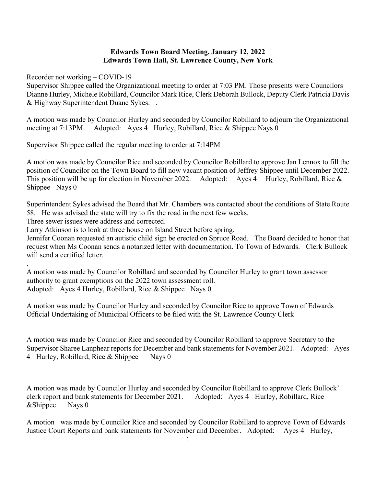## **Edwards Town Board Meeting, January 12, 2022 Edwards Town Hall, St. Lawrence County, New York**

Recorder not working – COVID-19

Supervisor Shippee called the Organizational meeting to order at 7:03 PM. Those presents were Councilors Dianne Hurley, Michele Robillard, Councilor Mark Rice, Clerk Deborah Bullock, Deputy Clerk Patricia Davis & Highway Superintendent Duane Sykes. .

A motion was made by Councilor Hurley and seconded by Councilor Robillard to adjourn the Organizational meeting at 7:13PM. Adopted: Ayes 4 Hurley, Robillard, Rice & Shippee Nays 0

Supervisor Shippee called the regular meeting to order at 7:14PM

A motion was made by Councilor Rice and seconded by Councilor Robillard to approve Jan Lennox to fill the position of Councilor on the Town Board to fill now vacant position of Jeffrey Shippee until December 2022. This position will be up for election in November 2022. Adopted: Ayes 4 Hurley, Robillard, Rice & Shippee Nays 0

Superintendent Sykes advised the Board that Mr. Chambers was contacted about the conditions of State Route 58. He was advised the state will try to fix the road in the next few weeks.

Three sewer issues were address and corrected.

.

Larry Atkinson is to look at three house on Island Street before spring.

Jennifer Coonan requested an autistic child sign be erected on Spruce Road. The Board decided to honor that request when Ms Coonan sends a notarized letter with documentation. To Town of Edwards. Clerk Bullock will send a certified letter.

A motion was made by Councilor Robillard and seconded by Councilor Hurley to grant town assessor authority to grant exemptions on the 2022 town assessment roll. Adopted: Ayes 4 Hurley, Robillard, Rice & Shippee Nays 0

A motion was made by Councilor Hurley and seconded by Councilor Rice to approve Town of Edwards Official Undertaking of Municipal Officers to be filed with the St. Lawrence County Clerk

A motion was made by Councilor Rice and seconded by Councilor Robillard to approve Secretary to the Supervisor Sharee Lanphear reports for December and bank statements for November 2021. Adopted: Ayes 4 Hurley, Robillard, Rice & Shippee Nays 0

A motion was made by Councilor Hurley and seconded by Councilor Robillard to approve Clerk Bullock' clerk report and bank statements for December 2021. Adopted: Ayes 4 Hurley, Robillard, Rice &Shippee Nays 0

A motion was made by Councilor Rice and seconded by Councilor Robillard to approve Town of Edwards Justice Court Reports and bank statements for November and December. Adopted: Ayes 4 Hurley,